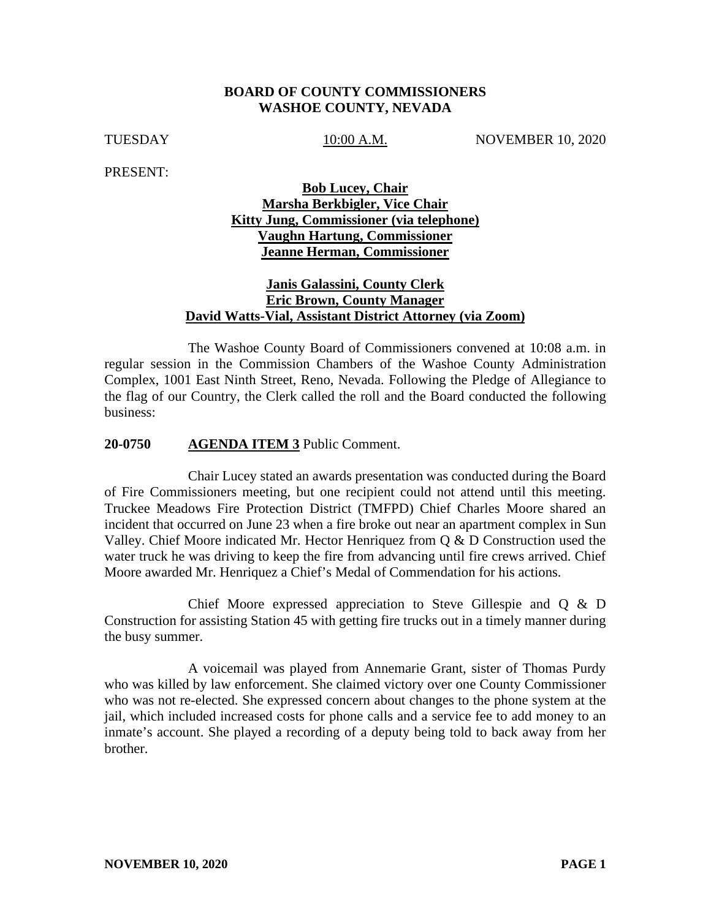### **BOARD OF COUNTY COMMISSIONERS WASHOE COUNTY, NEVADA**

TUESDAY 10:00 A.M. NOVEMBER 10, 2020

PRESENT:

## **Bob Lucey, Chair Marsha Berkbigler, Vice Chair Kitty Jung, Commissioner (via telephone) Vaughn Hartung, Commissioner Jeanne Herman, Commissioner**

## **Janis Galassini, County Clerk Eric Brown, County Manager David Watts-Vial, Assistant District Attorney (via Zoom)**

The Washoe County Board of Commissioners convened at 10:08 a.m. in regular session in the Commission Chambers of the Washoe County Administration Complex, 1001 East Ninth Street, Reno, Nevada. Following the Pledge of Allegiance to the flag of our Country, the Clerk called the roll and the Board conducted the following business:

### **20-0750 AGENDA ITEM 3** Public Comment.

Chair Lucey stated an awards presentation was conducted during the Board of Fire Commissioners meeting, but one recipient could not attend until this meeting. Truckee Meadows Fire Protection District (TMFPD) Chief Charles Moore shared an incident that occurred on June 23 when a fire broke out near an apartment complex in Sun Valley. Chief Moore indicated Mr. Hector Henriquez from Q & D Construction used the water truck he was driving to keep the fire from advancing until fire crews arrived. Chief Moore awarded Mr. Henriquez a Chief's Medal of Commendation for his actions.

Chief Moore expressed appreciation to Steve Gillespie and Q & D Construction for assisting Station 45 with getting fire trucks out in a timely manner during the busy summer.

A voicemail was played from Annemarie Grant, sister of Thomas Purdy who was killed by law enforcement. She claimed victory over one County Commissioner who was not re-elected. She expressed concern about changes to the phone system at the jail, which included increased costs for phone calls and a service fee to add money to an inmate's account. She played a recording of a deputy being told to back away from her brother.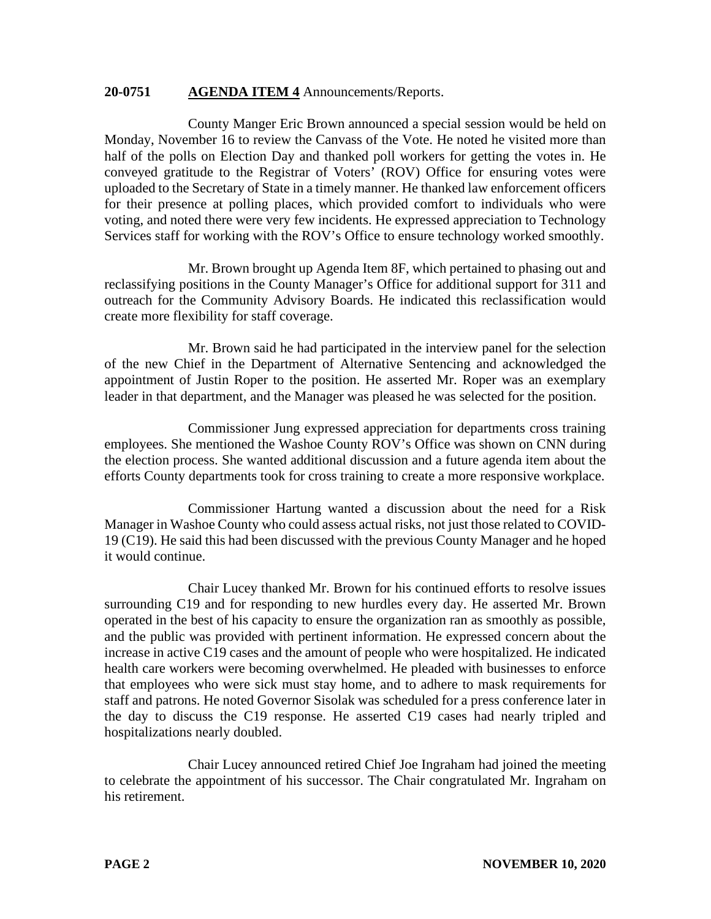### **20-0751 AGENDA ITEM 4** Announcements/Reports.

County Manger Eric Brown announced a special session would be held on Monday, November 16 to review the Canvass of the Vote. He noted he visited more than half of the polls on Election Day and thanked poll workers for getting the votes in. He conveyed gratitude to the Registrar of Voters' (ROV) Office for ensuring votes were uploaded to the Secretary of State in a timely manner. He thanked law enforcement officers for their presence at polling places, which provided comfort to individuals who were voting, and noted there were very few incidents. He expressed appreciation to Technology Services staff for working with the ROV's Office to ensure technology worked smoothly.

Mr. Brown brought up Agenda Item 8F, which pertained to phasing out and reclassifying positions in the County Manager's Office for additional support for 311 and outreach for the Community Advisory Boards. He indicated this reclassification would create more flexibility for staff coverage.

Mr. Brown said he had participated in the interview panel for the selection of the new Chief in the Department of Alternative Sentencing and acknowledged the appointment of Justin Roper to the position. He asserted Mr. Roper was an exemplary leader in that department, and the Manager was pleased he was selected for the position.

Commissioner Jung expressed appreciation for departments cross training employees. She mentioned the Washoe County ROV's Office was shown on CNN during the election process. She wanted additional discussion and a future agenda item about the efforts County departments took for cross training to create a more responsive workplace.

Commissioner Hartung wanted a discussion about the need for a Risk Manager in Washoe County who could assess actual risks, not just those related to COVID-19 (C19). He said this had been discussed with the previous County Manager and he hoped it would continue.

Chair Lucey thanked Mr. Brown for his continued efforts to resolve issues surrounding C19 and for responding to new hurdles every day. He asserted Mr. Brown operated in the best of his capacity to ensure the organization ran as smoothly as possible, and the public was provided with pertinent information. He expressed concern about the increase in active C19 cases and the amount of people who were hospitalized. He indicated health care workers were becoming overwhelmed. He pleaded with businesses to enforce that employees who were sick must stay home, and to adhere to mask requirements for staff and patrons. He noted Governor Sisolak was scheduled for a press conference later in the day to discuss the C19 response. He asserted C19 cases had nearly tripled and hospitalizations nearly doubled.

Chair Lucey announced retired Chief Joe Ingraham had joined the meeting to celebrate the appointment of his successor. The Chair congratulated Mr. Ingraham on his retirement.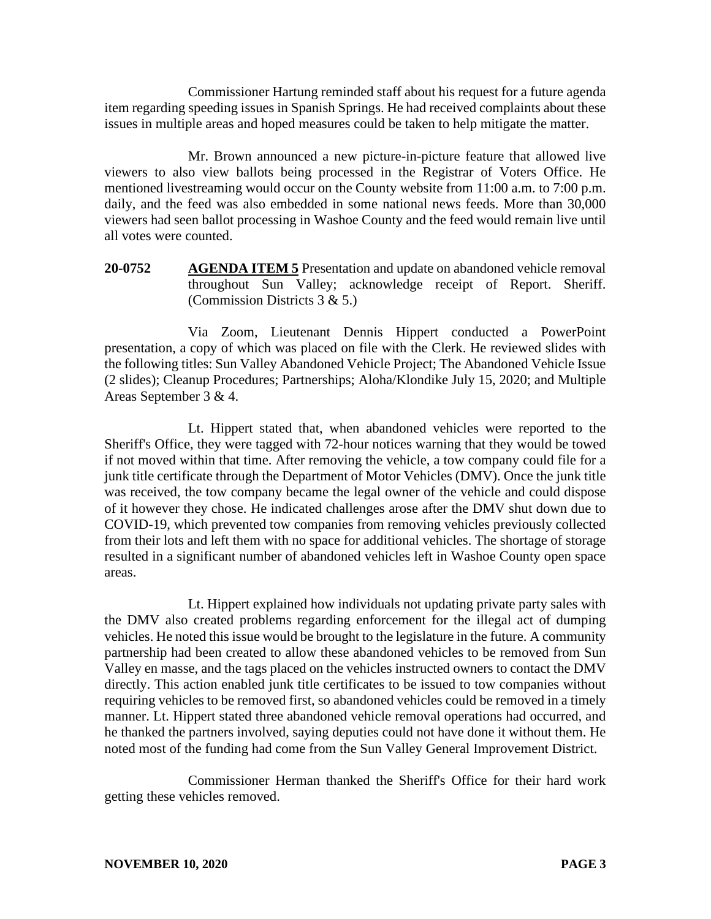Commissioner Hartung reminded staff about his request for a future agenda item regarding speeding issues in Spanish Springs. He had received complaints about these issues in multiple areas and hoped measures could be taken to help mitigate the matter.

Mr. Brown announced a new picture-in-picture feature that allowed live viewers to also view ballots being processed in the Registrar of Voters Office. He mentioned livestreaming would occur on the County website from 11:00 a.m. to 7:00 p.m. daily, and the feed was also embedded in some national news feeds. More than 30,000 viewers had seen ballot processing in Washoe County and the feed would remain live until all votes were counted.

**20-0752 AGENDA ITEM 5** Presentation and update on abandoned vehicle removal throughout Sun Valley; acknowledge receipt of Report. Sheriff. (Commission Districts 3 & 5.)

Via Zoom, Lieutenant Dennis Hippert conducted a PowerPoint presentation, a copy of which was placed on file with the Clerk. He reviewed slides with the following titles: Sun Valley Abandoned Vehicle Project; The Abandoned Vehicle Issue (2 slides); Cleanup Procedures; Partnerships; Aloha/Klondike July 15, 2020; and Multiple Areas September 3 & 4.

Lt. Hippert stated that, when abandoned vehicles were reported to the Sheriff's Office, they were tagged with 72-hour notices warning that they would be towed if not moved within that time. After removing the vehicle, a tow company could file for a junk title certificate through the Department of Motor Vehicles (DMV). Once the junk title was received, the tow company became the legal owner of the vehicle and could dispose of it however they chose. He indicated challenges arose after the DMV shut down due to COVID-19, which prevented tow companies from removing vehicles previously collected from their lots and left them with no space for additional vehicles. The shortage of storage resulted in a significant number of abandoned vehicles left in Washoe County open space areas.

Lt. Hippert explained how individuals not updating private party sales with the DMV also created problems regarding enforcement for the illegal act of dumping vehicles. He noted this issue would be brought to the legislature in the future. A community partnership had been created to allow these abandoned vehicles to be removed from Sun Valley en masse, and the tags placed on the vehicles instructed owners to contact the DMV directly. This action enabled junk title certificates to be issued to tow companies without requiring vehicles to be removed first, so abandoned vehicles could be removed in a timely manner. Lt. Hippert stated three abandoned vehicle removal operations had occurred, and he thanked the partners involved, saying deputies could not have done it without them. He noted most of the funding had come from the Sun Valley General Improvement District.

Commissioner Herman thanked the Sheriff's Office for their hard work getting these vehicles removed.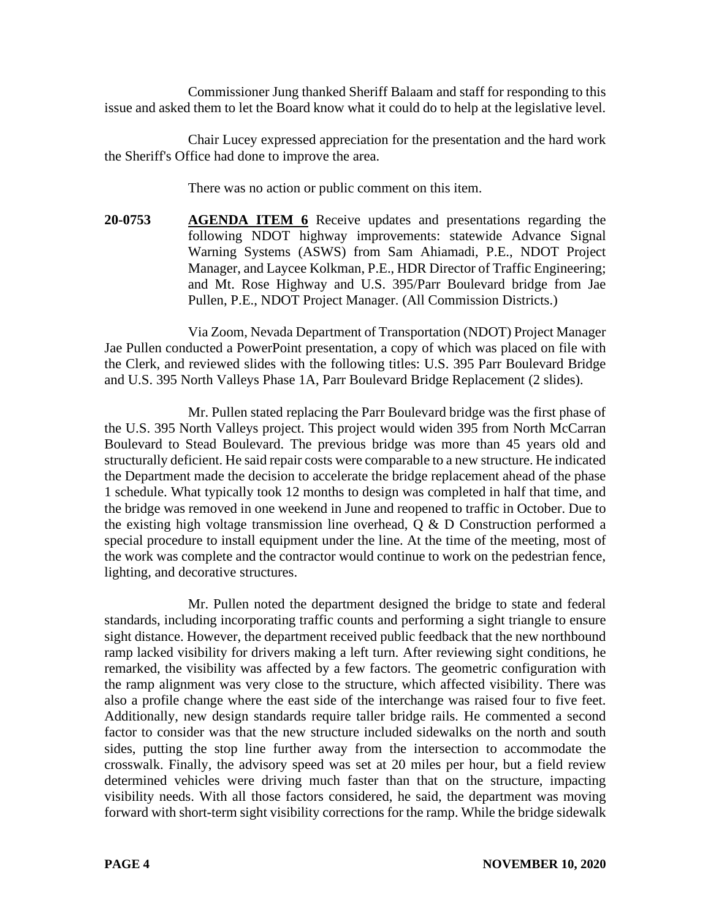Commissioner Jung thanked Sheriff Balaam and staff for responding to this issue and asked them to let the Board know what it could do to help at the legislative level.

Chair Lucey expressed appreciation for the presentation and the hard work the Sheriff's Office had done to improve the area.

There was no action or public comment on this item.

**20-0753 AGENDA ITEM 6** Receive updates and presentations regarding the following NDOT highway improvements: statewide Advance Signal Warning Systems (ASWS) from Sam Ahiamadi, P.E., NDOT Project Manager, and Laycee Kolkman, P.E., HDR Director of Traffic Engineering; and Mt. Rose Highway and U.S. 395/Parr Boulevard bridge from Jae Pullen, P.E., NDOT Project Manager. (All Commission Districts.)

Via Zoom, Nevada Department of Transportation (NDOT) Project Manager Jae Pullen conducted a PowerPoint presentation, a copy of which was placed on file with the Clerk, and reviewed slides with the following titles: U.S. 395 Parr Boulevard Bridge and U.S. 395 North Valleys Phase 1A, Parr Boulevard Bridge Replacement (2 slides).

Mr. Pullen stated replacing the Parr Boulevard bridge was the first phase of the U.S. 395 North Valleys project. This project would widen 395 from North McCarran Boulevard to Stead Boulevard. The previous bridge was more than 45 years old and structurally deficient. He said repair costs were comparable to a new structure. He indicated the Department made the decision to accelerate the bridge replacement ahead of the phase 1 schedule. What typically took 12 months to design was completed in half that time, and the bridge was removed in one weekend in June and reopened to traffic in October. Due to the existing high voltage transmission line overhead, Q & D Construction performed a special procedure to install equipment under the line. At the time of the meeting, most of the work was complete and the contractor would continue to work on the pedestrian fence, lighting, and decorative structures.

Mr. Pullen noted the department designed the bridge to state and federal standards, including incorporating traffic counts and performing a sight triangle to ensure sight distance. However, the department received public feedback that the new northbound ramp lacked visibility for drivers making a left turn. After reviewing sight conditions, he remarked, the visibility was affected by a few factors. The geometric configuration with the ramp alignment was very close to the structure, which affected visibility. There was also a profile change where the east side of the interchange was raised four to five feet. Additionally, new design standards require taller bridge rails. He commented a second factor to consider was that the new structure included sidewalks on the north and south sides, putting the stop line further away from the intersection to accommodate the crosswalk. Finally, the advisory speed was set at 20 miles per hour, but a field review determined vehicles were driving much faster than that on the structure, impacting visibility needs. With all those factors considered, he said, the department was moving forward with short-term sight visibility corrections for the ramp. While the bridge sidewalk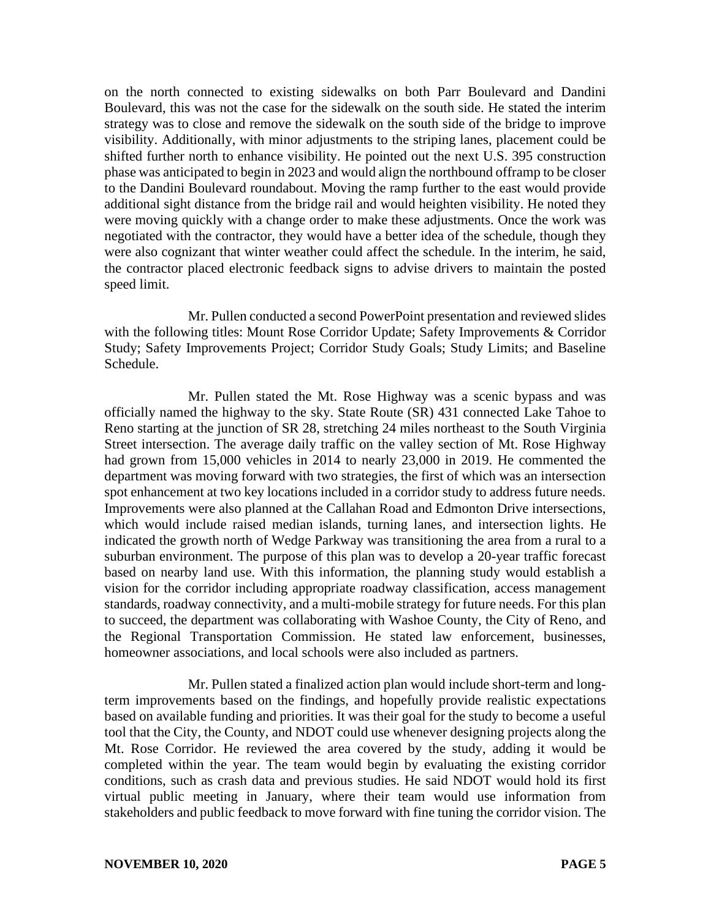on the north connected to existing sidewalks on both Parr Boulevard and Dandini Boulevard, this was not the case for the sidewalk on the south side. He stated the interim strategy was to close and remove the sidewalk on the south side of the bridge to improve visibility. Additionally, with minor adjustments to the striping lanes, placement could be shifted further north to enhance visibility. He pointed out the next U.S. 395 construction phase was anticipated to begin in 2023 and would align the northbound offramp to be closer to the Dandini Boulevard roundabout. Moving the ramp further to the east would provide additional sight distance from the bridge rail and would heighten visibility. He noted they were moving quickly with a change order to make these adjustments. Once the work was negotiated with the contractor, they would have a better idea of the schedule, though they were also cognizant that winter weather could affect the schedule. In the interim, he said, the contractor placed electronic feedback signs to advise drivers to maintain the posted speed limit.

Mr. Pullen conducted a second PowerPoint presentation and reviewed slides with the following titles: Mount Rose Corridor Update; Safety Improvements & Corridor Study; Safety Improvements Project; Corridor Study Goals; Study Limits; and Baseline Schedule.

Mr. Pullen stated the Mt. Rose Highway was a scenic bypass and was officially named the highway to the sky. State Route (SR) 431 connected Lake Tahoe to Reno starting at the junction of SR 28, stretching 24 miles northeast to the South Virginia Street intersection. The average daily traffic on the valley section of Mt. Rose Highway had grown from 15,000 vehicles in 2014 to nearly 23,000 in 2019. He commented the department was moving forward with two strategies, the first of which was an intersection spot enhancement at two key locations included in a corridor study to address future needs. Improvements were also planned at the Callahan Road and Edmonton Drive intersections, which would include raised median islands, turning lanes, and intersection lights. He indicated the growth north of Wedge Parkway was transitioning the area from a rural to a suburban environment. The purpose of this plan was to develop a 20-year traffic forecast based on nearby land use. With this information, the planning study would establish a vision for the corridor including appropriate roadway classification, access management standards, roadway connectivity, and a multi-mobile strategy for future needs. For this plan to succeed, the department was collaborating with Washoe County, the City of Reno, and the Regional Transportation Commission. He stated law enforcement, businesses, homeowner associations, and local schools were also included as partners.

Mr. Pullen stated a finalized action plan would include short-term and longterm improvements based on the findings, and hopefully provide realistic expectations based on available funding and priorities. It was their goal for the study to become a useful tool that the City, the County, and NDOT could use whenever designing projects along the Mt. Rose Corridor. He reviewed the area covered by the study, adding it would be completed within the year. The team would begin by evaluating the existing corridor conditions, such as crash data and previous studies. He said NDOT would hold its first virtual public meeting in January, where their team would use information from stakeholders and public feedback to move forward with fine tuning the corridor vision. The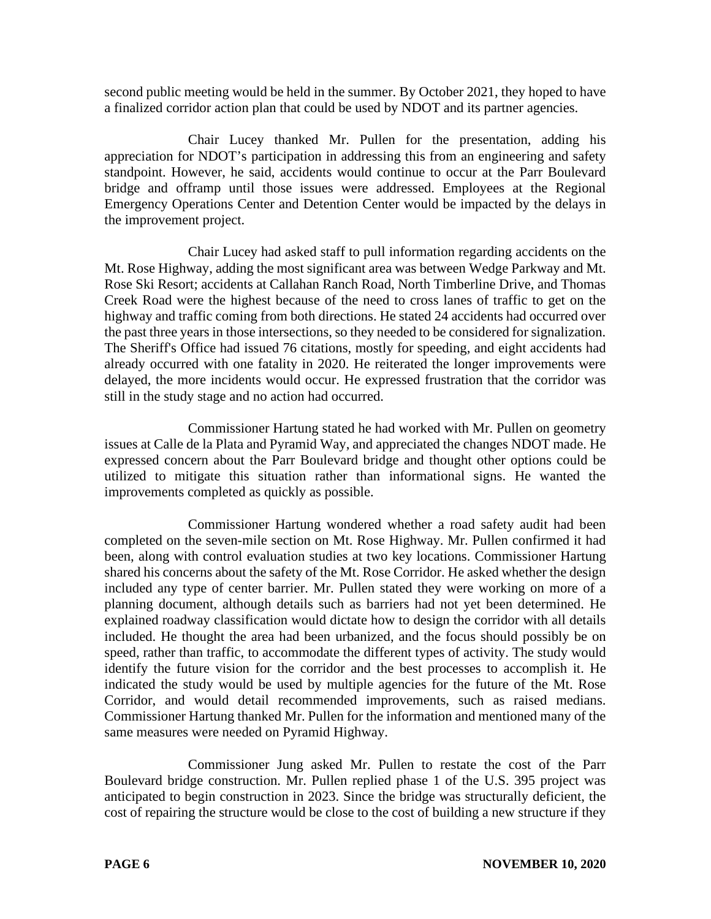second public meeting would be held in the summer. By October 2021, they hoped to have a finalized corridor action plan that could be used by NDOT and its partner agencies.

Chair Lucey thanked Mr. Pullen for the presentation, adding his appreciation for NDOT's participation in addressing this from an engineering and safety standpoint. However, he said, accidents would continue to occur at the Parr Boulevard bridge and offramp until those issues were addressed. Employees at the Regional Emergency Operations Center and Detention Center would be impacted by the delays in the improvement project.

Chair Lucey had asked staff to pull information regarding accidents on the Mt. Rose Highway, adding the most significant area was between Wedge Parkway and Mt. Rose Ski Resort; accidents at Callahan Ranch Road, North Timberline Drive, and Thomas Creek Road were the highest because of the need to cross lanes of traffic to get on the highway and traffic coming from both directions. He stated 24 accidents had occurred over the past three years in those intersections, so they needed to be considered for signalization. The Sheriff's Office had issued 76 citations, mostly for speeding, and eight accidents had already occurred with one fatality in 2020. He reiterated the longer improvements were delayed, the more incidents would occur. He expressed frustration that the corridor was still in the study stage and no action had occurred.

Commissioner Hartung stated he had worked with Mr. Pullen on geometry issues at Calle de la Plata and Pyramid Way, and appreciated the changes NDOT made. He expressed concern about the Parr Boulevard bridge and thought other options could be utilized to mitigate this situation rather than informational signs. He wanted the improvements completed as quickly as possible.

Commissioner Hartung wondered whether a road safety audit had been completed on the seven-mile section on Mt. Rose Highway. Mr. Pullen confirmed it had been, along with control evaluation studies at two key locations. Commissioner Hartung shared his concerns about the safety of the Mt. Rose Corridor. He asked whether the design included any type of center barrier. Mr. Pullen stated they were working on more of a planning document, although details such as barriers had not yet been determined. He explained roadway classification would dictate how to design the corridor with all details included. He thought the area had been urbanized, and the focus should possibly be on speed, rather than traffic, to accommodate the different types of activity. The study would identify the future vision for the corridor and the best processes to accomplish it. He indicated the study would be used by multiple agencies for the future of the Mt. Rose Corridor, and would detail recommended improvements, such as raised medians. Commissioner Hartung thanked Mr. Pullen for the information and mentioned many of the same measures were needed on Pyramid Highway.

Commissioner Jung asked Mr. Pullen to restate the cost of the Parr Boulevard bridge construction. Mr. Pullen replied phase 1 of the U.S. 395 project was anticipated to begin construction in 2023. Since the bridge was structurally deficient, the cost of repairing the structure would be close to the cost of building a new structure if they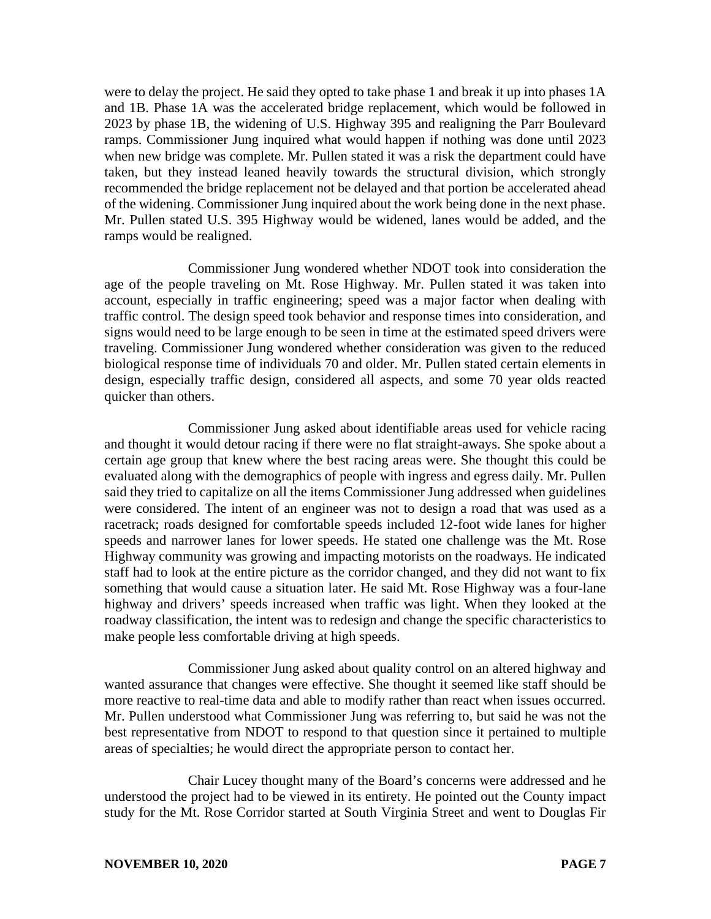were to delay the project. He said they opted to take phase 1 and break it up into phases 1A and 1B. Phase 1A was the accelerated bridge replacement, which would be followed in 2023 by phase 1B, the widening of U.S. Highway 395 and realigning the Parr Boulevard ramps. Commissioner Jung inquired what would happen if nothing was done until 2023 when new bridge was complete. Mr. Pullen stated it was a risk the department could have taken, but they instead leaned heavily towards the structural division, which strongly recommended the bridge replacement not be delayed and that portion be accelerated ahead of the widening. Commissioner Jung inquired about the work being done in the next phase. Mr. Pullen stated U.S. 395 Highway would be widened, lanes would be added, and the ramps would be realigned.

Commissioner Jung wondered whether NDOT took into consideration the age of the people traveling on Mt. Rose Highway. Mr. Pullen stated it was taken into account, especially in traffic engineering; speed was a major factor when dealing with traffic control. The design speed took behavior and response times into consideration, and signs would need to be large enough to be seen in time at the estimated speed drivers were traveling. Commissioner Jung wondered whether consideration was given to the reduced biological response time of individuals 70 and older. Mr. Pullen stated certain elements in design, especially traffic design, considered all aspects, and some 70 year olds reacted quicker than others.

Commissioner Jung asked about identifiable areas used for vehicle racing and thought it would detour racing if there were no flat straight-aways. She spoke about a certain age group that knew where the best racing areas were. She thought this could be evaluated along with the demographics of people with ingress and egress daily. Mr. Pullen said they tried to capitalize on all the items Commissioner Jung addressed when guidelines were considered. The intent of an engineer was not to design a road that was used as a racetrack; roads designed for comfortable speeds included 12-foot wide lanes for higher speeds and narrower lanes for lower speeds. He stated one challenge was the Mt. Rose Highway community was growing and impacting motorists on the roadways. He indicated staff had to look at the entire picture as the corridor changed, and they did not want to fix something that would cause a situation later. He said Mt. Rose Highway was a four-lane highway and drivers' speeds increased when traffic was light. When they looked at the roadway classification, the intent was to redesign and change the specific characteristics to make people less comfortable driving at high speeds.

Commissioner Jung asked about quality control on an altered highway and wanted assurance that changes were effective. She thought it seemed like staff should be more reactive to real-time data and able to modify rather than react when issues occurred. Mr. Pullen understood what Commissioner Jung was referring to, but said he was not the best representative from NDOT to respond to that question since it pertained to multiple areas of specialties; he would direct the appropriate person to contact her.

Chair Lucey thought many of the Board's concerns were addressed and he understood the project had to be viewed in its entirety. He pointed out the County impact study for the Mt. Rose Corridor started at South Virginia Street and went to Douglas Fir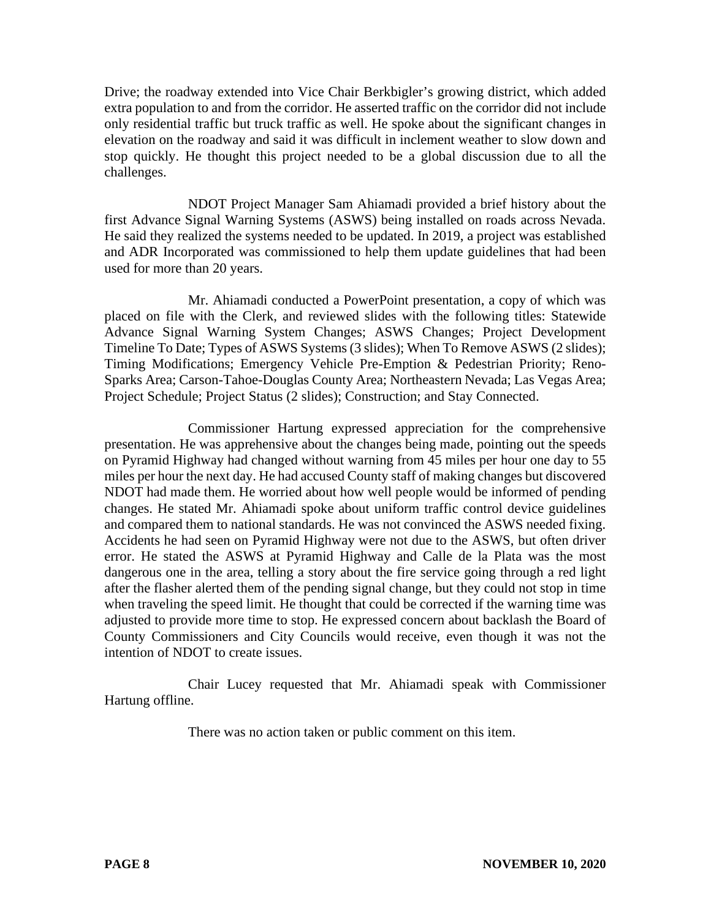Drive; the roadway extended into Vice Chair Berkbigler's growing district, which added extra population to and from the corridor. He asserted traffic on the corridor did not include only residential traffic but truck traffic as well. He spoke about the significant changes in elevation on the roadway and said it was difficult in inclement weather to slow down and stop quickly. He thought this project needed to be a global discussion due to all the challenges.

NDOT Project Manager Sam Ahiamadi provided a brief history about the first Advance Signal Warning Systems (ASWS) being installed on roads across Nevada. He said they realized the systems needed to be updated. In 2019, a project was established and ADR Incorporated was commissioned to help them update guidelines that had been used for more than 20 years.

Mr. Ahiamadi conducted a PowerPoint presentation, a copy of which was placed on file with the Clerk, and reviewed slides with the following titles: Statewide Advance Signal Warning System Changes; ASWS Changes; Project Development Timeline To Date; Types of ASWS Systems(3 slides); When To Remove ASWS (2 slides); Timing Modifications; Emergency Vehicle Pre-Emption & Pedestrian Priority; Reno-Sparks Area; Carson-Tahoe-Douglas County Area; Northeastern Nevada; Las Vegas Area; Project Schedule; Project Status (2 slides); Construction; and Stay Connected.

Commissioner Hartung expressed appreciation for the comprehensive presentation. He was apprehensive about the changes being made, pointing out the speeds on Pyramid Highway had changed without warning from 45 miles per hour one day to 55 miles per hour the next day. He had accused County staff of making changes but discovered NDOT had made them. He worried about how well people would be informed of pending changes. He stated Mr. Ahiamadi spoke about uniform traffic control device guidelines and compared them to national standards. He was not convinced the ASWS needed fixing. Accidents he had seen on Pyramid Highway were not due to the ASWS, but often driver error. He stated the ASWS at Pyramid Highway and Calle de la Plata was the most dangerous one in the area, telling a story about the fire service going through a red light after the flasher alerted them of the pending signal change, but they could not stop in time when traveling the speed limit. He thought that could be corrected if the warning time was adjusted to provide more time to stop. He expressed concern about backlash the Board of County Commissioners and City Councils would receive, even though it was not the intention of NDOT to create issues.

Chair Lucey requested that Mr. Ahiamadi speak with Commissioner Hartung offline.

There was no action taken or public comment on this item.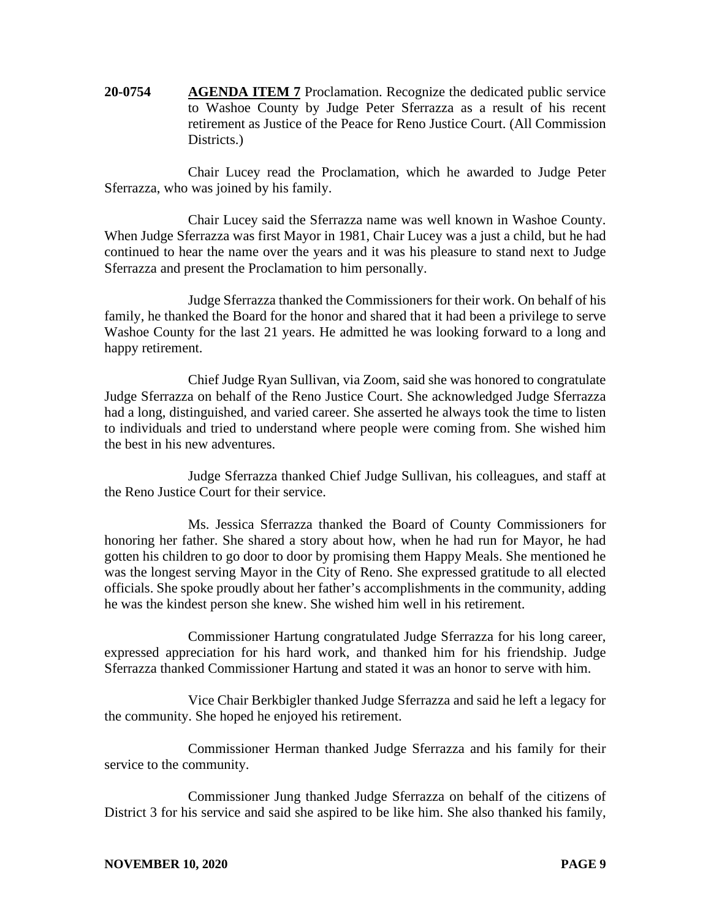**20-0754 AGENDA ITEM 7** Proclamation. Recognize the dedicated public service to Washoe County by Judge Peter Sferrazza as a result of his recent retirement as Justice of the Peace for Reno Justice Court. (All Commission Districts.)

Chair Lucey read the Proclamation, which he awarded to Judge Peter Sferrazza, who was joined by his family.

Chair Lucey said the Sferrazza name was well known in Washoe County. When Judge Sferrazza was first Mayor in 1981, Chair Lucey was a just a child, but he had continued to hear the name over the years and it was his pleasure to stand next to Judge Sferrazza and present the Proclamation to him personally.

Judge Sferrazza thanked the Commissioners for their work. On behalf of his family, he thanked the Board for the honor and shared that it had been a privilege to serve Washoe County for the last 21 years. He admitted he was looking forward to a long and happy retirement.

Chief Judge Ryan Sullivan, via Zoom, said she was honored to congratulate Judge Sferrazza on behalf of the Reno Justice Court. She acknowledged Judge Sferrazza had a long, distinguished, and varied career. She asserted he always took the time to listen to individuals and tried to understand where people were coming from. She wished him the best in his new adventures.

Judge Sferrazza thanked Chief Judge Sullivan, his colleagues, and staff at the Reno Justice Court for their service.

Ms. Jessica Sferrazza thanked the Board of County Commissioners for honoring her father. She shared a story about how, when he had run for Mayor, he had gotten his children to go door to door by promising them Happy Meals. She mentioned he was the longest serving Mayor in the City of Reno. She expressed gratitude to all elected officials. She spoke proudly about her father's accomplishments in the community, adding he was the kindest person she knew. She wished him well in his retirement.

Commissioner Hartung congratulated Judge Sferrazza for his long career, expressed appreciation for his hard work, and thanked him for his friendship. Judge Sferrazza thanked Commissioner Hartung and stated it was an honor to serve with him.

Vice Chair Berkbigler thanked Judge Sferrazza and said he left a legacy for the community. She hoped he enjoyed his retirement.

Commissioner Herman thanked Judge Sferrazza and his family for their service to the community.

Commissioner Jung thanked Judge Sferrazza on behalf of the citizens of District 3 for his service and said she aspired to be like him. She also thanked his family,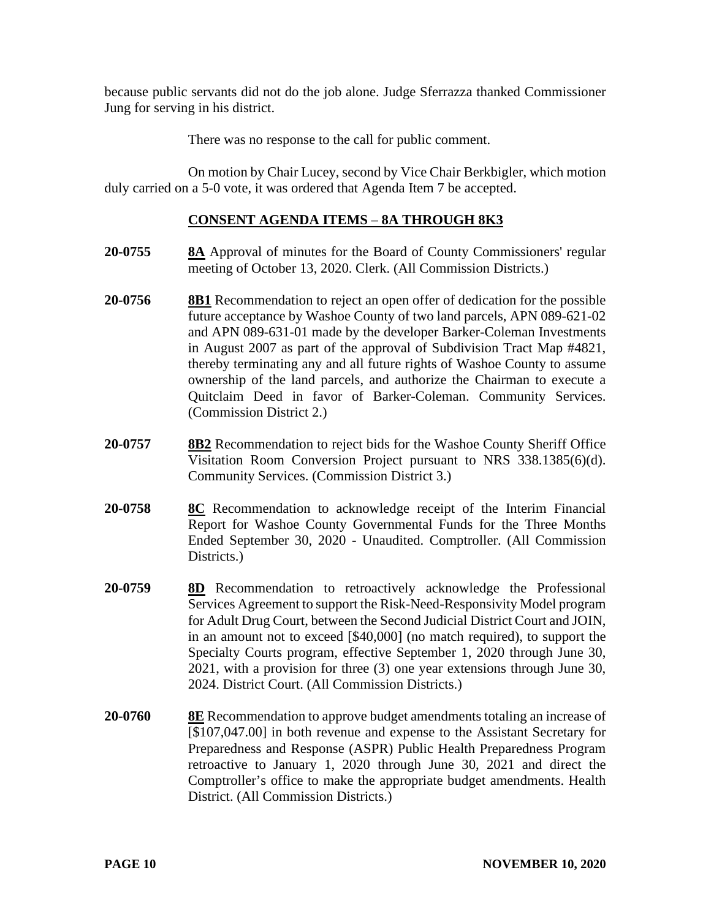because public servants did not do the job alone. Judge Sferrazza thanked Commissioner Jung for serving in his district.

There was no response to the call for public comment.

On motion by Chair Lucey, second by Vice Chair Berkbigler, which motion duly carried on a 5-0 vote, it was ordered that Agenda Item 7 be accepted.

## **CONSENT AGENDA ITEMS** – **8A THROUGH 8K3**

- **20-0755 8A** Approval of minutes for the Board of County Commissioners' regular meeting of October 13, 2020. Clerk. (All Commission Districts.)
- **20-0756 8B1** Recommendation to reject an open offer of dedication for the possible future acceptance by Washoe County of two land parcels, APN 089-621-02 and APN 089-631-01 made by the developer Barker-Coleman Investments in August 2007 as part of the approval of Subdivision Tract Map #4821, thereby terminating any and all future rights of Washoe County to assume ownership of the land parcels, and authorize the Chairman to execute a Quitclaim Deed in favor of Barker-Coleman. Community Services. (Commission District 2.)
- **20-0757 8B2** Recommendation to reject bids for the Washoe County Sheriff Office Visitation Room Conversion Project pursuant to NRS 338.1385(6)(d). Community Services. (Commission District 3.)
- **20-0758 8C** Recommendation to acknowledge receipt of the Interim Financial Report for Washoe County Governmental Funds for the Three Months Ended September 30, 2020 - Unaudited. Comptroller. (All Commission Districts.)
- **20-0759 8D** Recommendation to retroactively acknowledge the Professional Services Agreement to support the Risk-Need-Responsivity Model program for Adult Drug Court, between the Second Judicial District Court and JOIN, in an amount not to exceed [\$40,000] (no match required), to support the Specialty Courts program, effective September 1, 2020 through June 30, 2021, with a provision for three (3) one year extensions through June 30, 2024. District Court. (All Commission Districts.)
- **20-0760 8E** Recommendation to approve budget amendments totaling an increase of [\$107,047.00] in both revenue and expense to the Assistant Secretary for Preparedness and Response (ASPR) Public Health Preparedness Program retroactive to January 1, 2020 through June 30, 2021 and direct the Comptroller's office to make the appropriate budget amendments. Health District. (All Commission Districts.)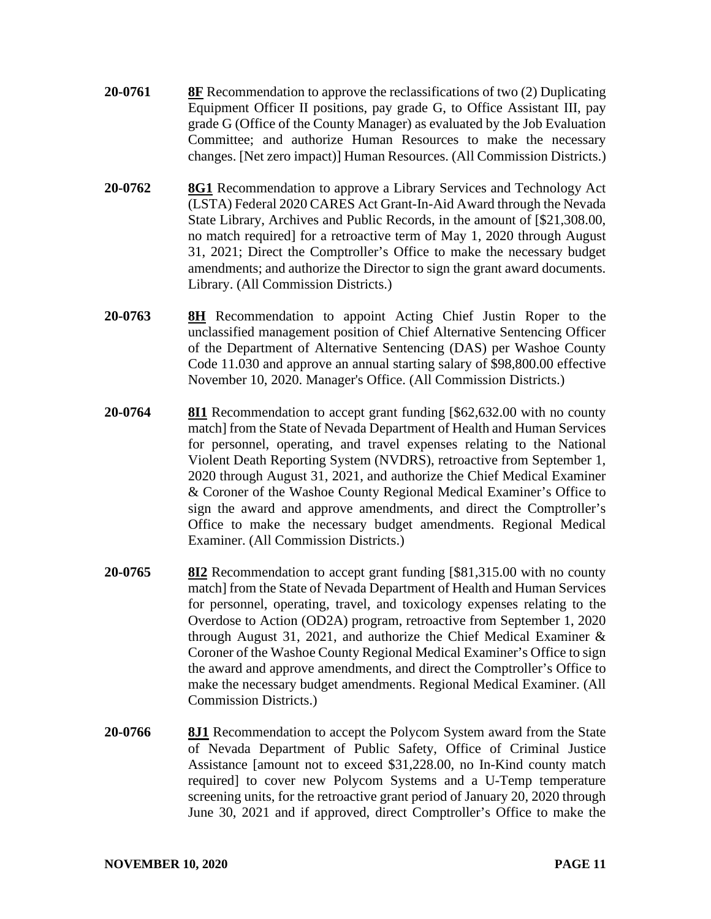- **20-0761 8F** Recommendation to approve the reclassifications of two (2) Duplicating Equipment Officer II positions, pay grade G, to Office Assistant III, pay grade G (Office of the County Manager) as evaluated by the Job Evaluation Committee; and authorize Human Resources to make the necessary changes. [Net zero impact)] Human Resources. (All Commission Districts.)
- **20-0762 8G1** Recommendation to approve a Library Services and Technology Act (LSTA) Federal 2020 CARES Act Grant-In-Aid Award through the Nevada State Library, Archives and Public Records, in the amount of [\$21,308.00, no match required] for a retroactive term of May 1, 2020 through August 31, 2021; Direct the Comptroller's Office to make the necessary budget amendments; and authorize the Director to sign the grant award documents. Library. (All Commission Districts.)
- **20-0763 8H** Recommendation to appoint Acting Chief Justin Roper to the unclassified management position of Chief Alternative Sentencing Officer of the Department of Alternative Sentencing (DAS) per Washoe County Code 11.030 and approve an annual starting salary of \$98,800.00 effective November 10, 2020. Manager's Office. (All Commission Districts.)
- **20-0764 8I1** Recommendation to accept grant funding [\$62,632.00 with no county match] from the State of Nevada Department of Health and Human Services for personnel, operating, and travel expenses relating to the National Violent Death Reporting System (NVDRS), retroactive from September 1, 2020 through August 31, 2021, and authorize the Chief Medical Examiner & Coroner of the Washoe County Regional Medical Examiner's Office to sign the award and approve amendments, and direct the Comptroller's Office to make the necessary budget amendments. Regional Medical Examiner. (All Commission Districts.)
- **20-0765 8I2** Recommendation to accept grant funding [\$81,315.00 with no county match] from the State of Nevada Department of Health and Human Services for personnel, operating, travel, and toxicology expenses relating to the Overdose to Action (OD2A) program, retroactive from September 1, 2020 through August 31, 2021, and authorize the Chief Medical Examiner & Coroner of the Washoe County Regional Medical Examiner's Office to sign the award and approve amendments, and direct the Comptroller's Office to make the necessary budget amendments. Regional Medical Examiner. (All Commission Districts.)
- **20-0766 8J1** Recommendation to accept the Polycom System award from the State of Nevada Department of Public Safety, Office of Criminal Justice Assistance [amount not to exceed \$31,228.00, no In-Kind county match required] to cover new Polycom Systems and a U-Temp temperature screening units, for the retroactive grant period of January 20, 2020 through June 30, 2021 and if approved, direct Comptroller's Office to make the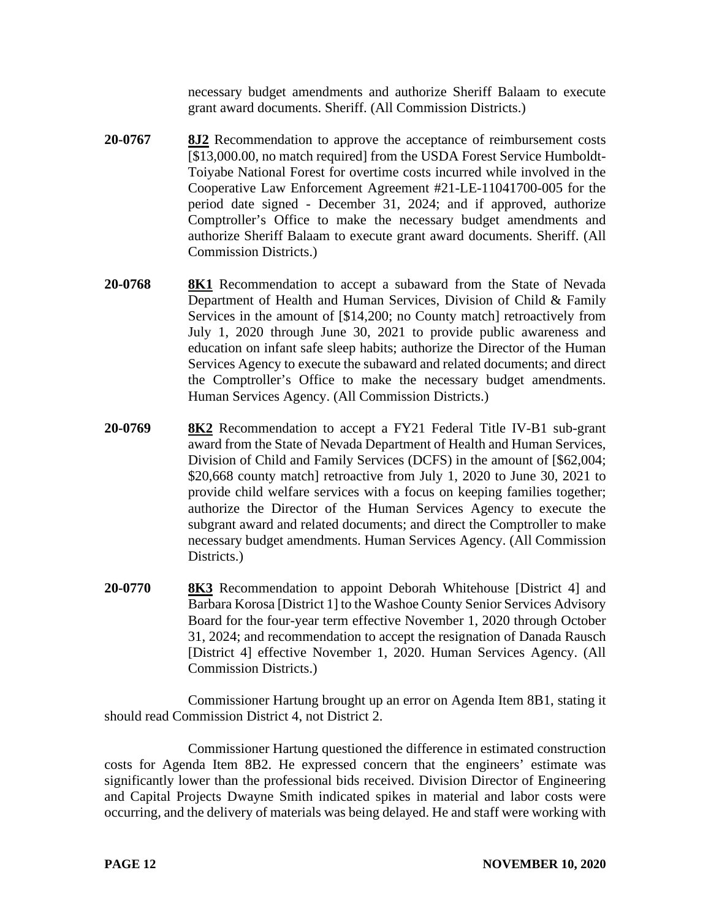necessary budget amendments and authorize Sheriff Balaam to execute grant award documents. Sheriff. (All Commission Districts.)

- **20-0767 8J2** Recommendation to approve the acceptance of reimbursement costs [\$13,000.00, no match required] from the USDA Forest Service Humboldt-Toiyabe National Forest for overtime costs incurred while involved in the Cooperative Law Enforcement Agreement #21-LE-11041700-005 for the period date signed - December 31, 2024; and if approved, authorize Comptroller's Office to make the necessary budget amendments and authorize Sheriff Balaam to execute grant award documents. Sheriff. (All Commission Districts.)
- **20-0768 8K1** Recommendation to accept a subaward from the State of Nevada Department of Health and Human Services, Division of Child & Family Services in the amount of [\$14,200; no County match] retroactively from July 1, 2020 through June 30, 2021 to provide public awareness and education on infant safe sleep habits; authorize the Director of the Human Services Agency to execute the subaward and related documents; and direct the Comptroller's Office to make the necessary budget amendments. Human Services Agency. (All Commission Districts.)
- **20-0769 8K2** Recommendation to accept a FY21 Federal Title IV-B1 sub-grant award from the State of Nevada Department of Health and Human Services, Division of Child and Family Services (DCFS) in the amount of [\$62,004; \$20,668 county match] retroactive from July 1, 2020 to June 30, 2021 to provide child welfare services with a focus on keeping families together; authorize the Director of the Human Services Agency to execute the subgrant award and related documents; and direct the Comptroller to make necessary budget amendments. Human Services Agency. (All Commission Districts.)
- **20-0770 8K3** Recommendation to appoint Deborah Whitehouse [District 4] and Barbara Korosa [District 1] to the Washoe County Senior Services Advisory Board for the four-year term effective November 1, 2020 through October 31, 2024; and recommendation to accept the resignation of Danada Rausch [District 4] effective November 1, 2020. Human Services Agency. (All Commission Districts.)

Commissioner Hartung brought up an error on Agenda Item 8B1, stating it should read Commission District 4, not District 2.

Commissioner Hartung questioned the difference in estimated construction costs for Agenda Item 8B2. He expressed concern that the engineers' estimate was significantly lower than the professional bids received. Division Director of Engineering and Capital Projects Dwayne Smith indicated spikes in material and labor costs were occurring, and the delivery of materials was being delayed. He and staff were working with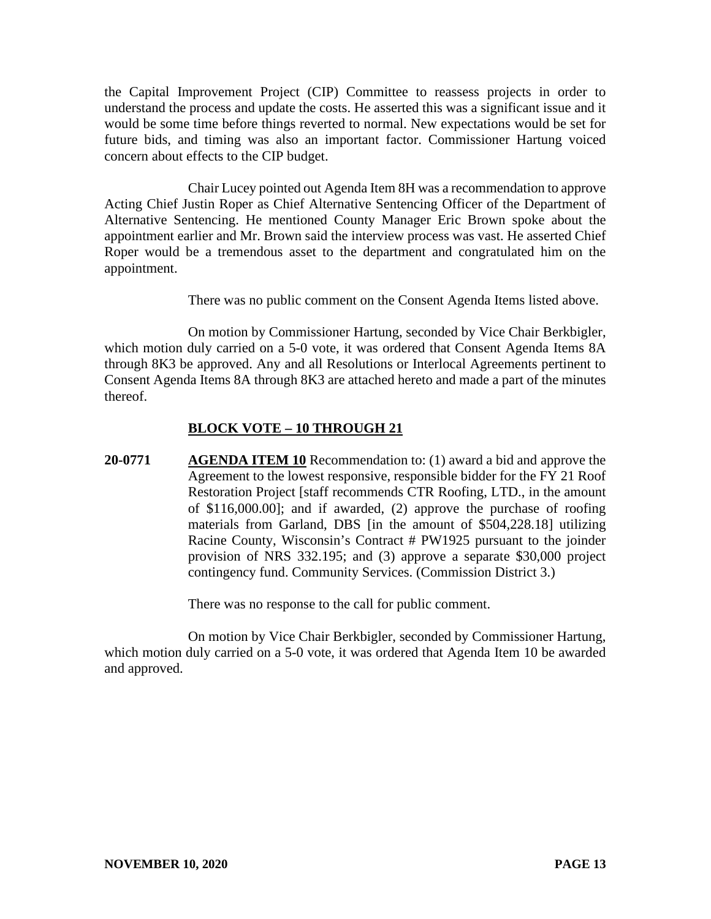the Capital Improvement Project (CIP) Committee to reassess projects in order to understand the process and update the costs. He asserted this was a significant issue and it would be some time before things reverted to normal. New expectations would be set for future bids, and timing was also an important factor. Commissioner Hartung voiced concern about effects to the CIP budget.

Chair Lucey pointed out Agenda Item 8H was a recommendation to approve Acting Chief Justin Roper as Chief Alternative Sentencing Officer of the Department of Alternative Sentencing. He mentioned County Manager Eric Brown spoke about the appointment earlier and Mr. Brown said the interview process was vast. He asserted Chief Roper would be a tremendous asset to the department and congratulated him on the appointment.

There was no public comment on the Consent Agenda Items listed above.

On motion by Commissioner Hartung, seconded by Vice Chair Berkbigler, which motion duly carried on a 5-0 vote, it was ordered that Consent Agenda Items 8A through 8K3 be approved. Any and all Resolutions or Interlocal Agreements pertinent to Consent Agenda Items 8A through 8K3 are attached hereto and made a part of the minutes thereof.

## **BLOCK VOTE – 10 THROUGH 21**

**20-0771 AGENDA ITEM 10** Recommendation to: (1) award a bid and approve the Agreement to the lowest responsive, responsible bidder for the FY 21 Roof Restoration Project [staff recommends CTR Roofing, LTD., in the amount of \$116,000.00]; and if awarded, (2) approve the purchase of roofing materials from Garland, DBS [in the amount of \$504,228.18] utilizing Racine County, Wisconsin's Contract # PW1925 pursuant to the joinder provision of NRS 332.195; and (3) approve a separate \$30,000 project contingency fund. Community Services. (Commission District 3.)

There was no response to the call for public comment.

On motion by Vice Chair Berkbigler, seconded by Commissioner Hartung, which motion duly carried on a 5-0 vote, it was ordered that Agenda Item 10 be awarded and approved.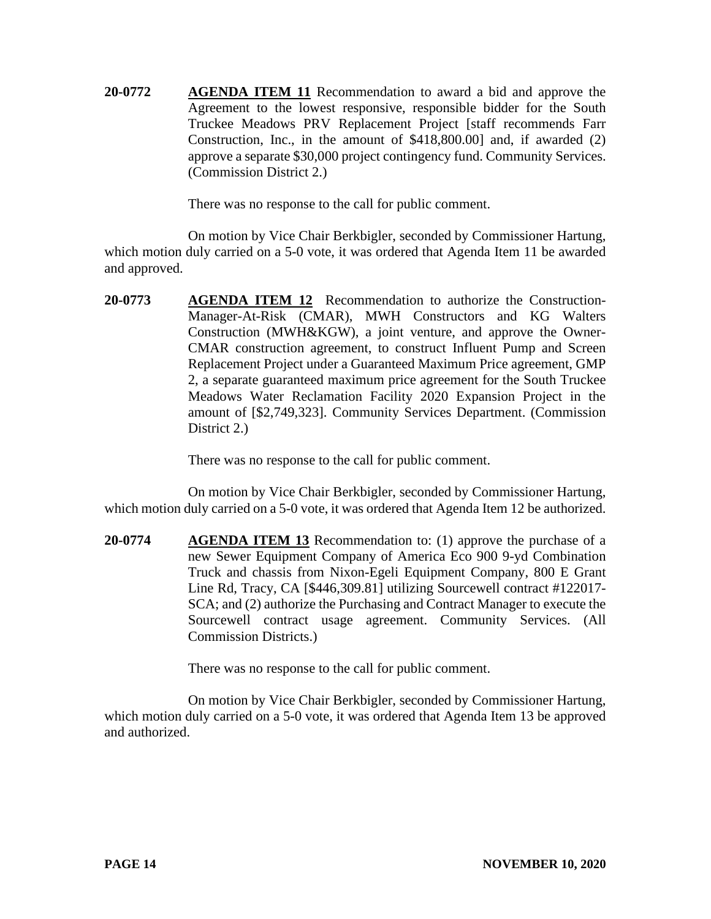**20-0772 AGENDA ITEM 11** Recommendation to award a bid and approve the Agreement to the lowest responsive, responsible bidder for the South Truckee Meadows PRV Replacement Project [staff recommends Farr Construction, Inc., in the amount of \$418,800.00] and, if awarded (2) approve a separate \$30,000 project contingency fund. Community Services. (Commission District 2.)

There was no response to the call for public comment.

On motion by Vice Chair Berkbigler, seconded by Commissioner Hartung, which motion duly carried on a 5-0 vote, it was ordered that Agenda Item 11 be awarded and approved.

**20-0773 AGENDA ITEM 12** Recommendation to authorize the Construction-Manager-At-Risk (CMAR), MWH Constructors and KG Walters Construction (MWH&KGW), a joint venture, and approve the Owner-CMAR construction agreement, to construct Influent Pump and Screen Replacement Project under a Guaranteed Maximum Price agreement, GMP 2, a separate guaranteed maximum price agreement for the South Truckee Meadows Water Reclamation Facility 2020 Expansion Project in the amount of [\$2,749,323]. Community Services Department. (Commission District 2.)

There was no response to the call for public comment.

On motion by Vice Chair Berkbigler, seconded by Commissioner Hartung, which motion duly carried on a 5-0 vote, it was ordered that Agenda Item 12 be authorized.

**20-0774 AGENDA ITEM 13** Recommendation to: (1) approve the purchase of a new Sewer Equipment Company of America Eco 900 9-yd Combination Truck and chassis from Nixon-Egeli Equipment Company, 800 E Grant Line Rd, Tracy, CA [\$446,309.81] utilizing Sourcewell contract #122017- SCA; and (2) authorize the Purchasing and Contract Manager to execute the Sourcewell contract usage agreement. Community Services. (All Commission Districts.)

There was no response to the call for public comment.

On motion by Vice Chair Berkbigler, seconded by Commissioner Hartung, which motion duly carried on a 5-0 vote, it was ordered that Agenda Item 13 be approved and authorized.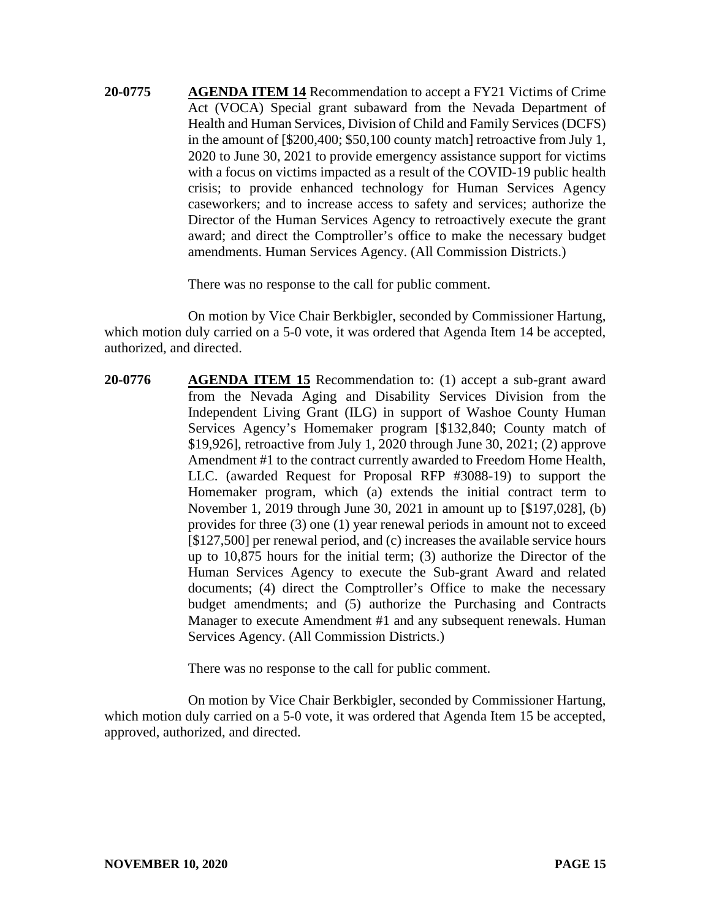**20-0775 AGENDA ITEM 14** Recommendation to accept a FY21 Victims of Crime Act (VOCA) Special grant subaward from the Nevada Department of Health and Human Services, Division of Child and Family Services (DCFS) in the amount of [\$200,400; \$50,100 county match] retroactive from July 1, 2020 to June 30, 2021 to provide emergency assistance support for victims with a focus on victims impacted as a result of the COVID-19 public health crisis; to provide enhanced technology for Human Services Agency caseworkers; and to increase access to safety and services; authorize the Director of the Human Services Agency to retroactively execute the grant award; and direct the Comptroller's office to make the necessary budget amendments. Human Services Agency. (All Commission Districts.)

There was no response to the call for public comment.

On motion by Vice Chair Berkbigler, seconded by Commissioner Hartung, which motion duly carried on a 5-0 vote, it was ordered that Agenda Item 14 be accepted, authorized, and directed.

**20-0776 AGENDA ITEM 15** Recommendation to: (1) accept a sub-grant award from the Nevada Aging and Disability Services Division from the Independent Living Grant (ILG) in support of Washoe County Human Services Agency's Homemaker program [\$132,840; County match of \$19,926], retroactive from July 1, 2020 through June 30, 2021; (2) approve Amendment #1 to the contract currently awarded to Freedom Home Health, LLC. (awarded Request for Proposal RFP #3088-19) to support the Homemaker program, which (a) extends the initial contract term to November 1, 2019 through June 30, 2021 in amount up to [\$197,028], (b) provides for three (3) one (1) year renewal periods in amount not to exceed [\$127,500] per renewal period, and (c) increases the available service hours up to 10,875 hours for the initial term; (3) authorize the Director of the Human Services Agency to execute the Sub-grant Award and related documents; (4) direct the Comptroller's Office to make the necessary budget amendments; and (5) authorize the Purchasing and Contracts Manager to execute Amendment #1 and any subsequent renewals. Human Services Agency. (All Commission Districts.)

There was no response to the call for public comment.

On motion by Vice Chair Berkbigler, seconded by Commissioner Hartung, which motion duly carried on a 5-0 vote, it was ordered that Agenda Item 15 be accepted, approved, authorized, and directed.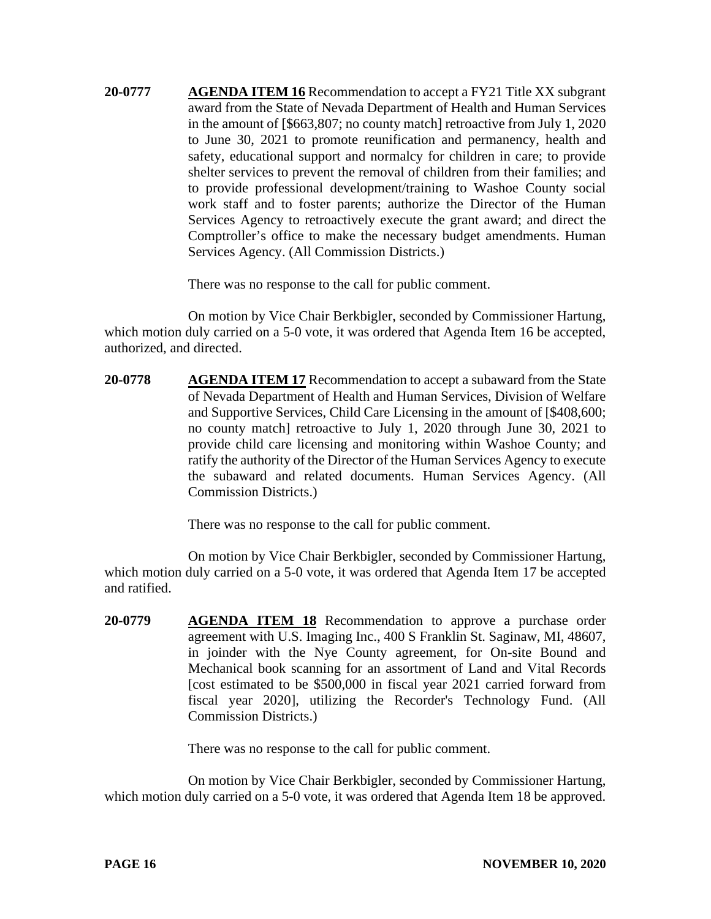**20-0777 AGENDA ITEM 16** Recommendation to accept a FY21 Title XX subgrant award from the State of Nevada Department of Health and Human Services in the amount of [\$663,807; no county match] retroactive from July 1, 2020 to June 30, 2021 to promote reunification and permanency, health and safety, educational support and normalcy for children in care; to provide shelter services to prevent the removal of children from their families; and to provide professional development/training to Washoe County social work staff and to foster parents; authorize the Director of the Human Services Agency to retroactively execute the grant award; and direct the Comptroller's office to make the necessary budget amendments. Human Services Agency. (All Commission Districts.)

There was no response to the call for public comment.

On motion by Vice Chair Berkbigler, seconded by Commissioner Hartung, which motion duly carried on a 5-0 vote, it was ordered that Agenda Item 16 be accepted, authorized, and directed.

**20-0778 AGENDA ITEM 17** Recommendation to accept a subaward from the State of Nevada Department of Health and Human Services, Division of Welfare and Supportive Services, Child Care Licensing in the amount of [\$408,600; no county match] retroactive to July 1, 2020 through June 30, 2021 to provide child care licensing and monitoring within Washoe County; and ratify the authority of the Director of the Human Services Agency to execute the subaward and related documents. Human Services Agency. (All Commission Districts.)

There was no response to the call for public comment.

On motion by Vice Chair Berkbigler, seconded by Commissioner Hartung, which motion duly carried on a 5-0 vote, it was ordered that Agenda Item 17 be accepted and ratified.

**20-0779 AGENDA ITEM 18** Recommendation to approve a purchase order agreement with U.S. Imaging Inc., 400 S Franklin St. Saginaw, MI, 48607, in joinder with the Nye County agreement, for On-site Bound and Mechanical book scanning for an assortment of Land and Vital Records [cost estimated to be \$500,000 in fiscal year 2021 carried forward from fiscal year 2020], utilizing the Recorder's Technology Fund. (All Commission Districts.)

There was no response to the call for public comment.

On motion by Vice Chair Berkbigler, seconded by Commissioner Hartung, which motion duly carried on a 5-0 vote, it was ordered that Agenda Item 18 be approved.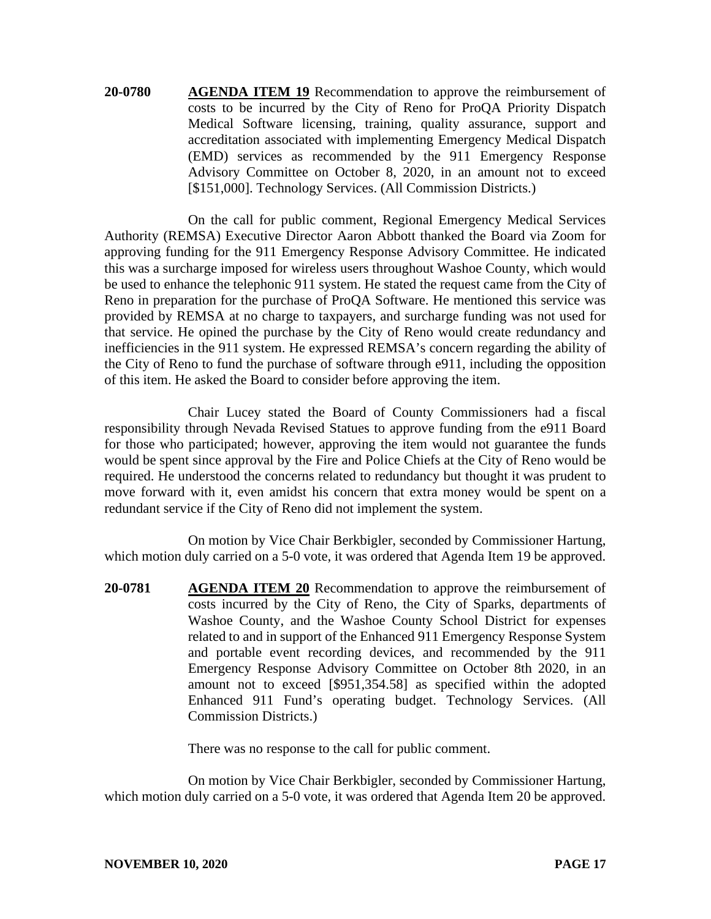**20-0780 AGENDA ITEM 19** Recommendation to approve the reimbursement of costs to be incurred by the City of Reno for ProQA Priority Dispatch Medical Software licensing, training, quality assurance, support and accreditation associated with implementing Emergency Medical Dispatch (EMD) services as recommended by the 911 Emergency Response Advisory Committee on October 8, 2020, in an amount not to exceed [\$151,000]. Technology Services. (All Commission Districts.)

On the call for public comment, Regional Emergency Medical Services Authority (REMSA) Executive Director Aaron Abbott thanked the Board via Zoom for approving funding for the 911 Emergency Response Advisory Committee. He indicated this was a surcharge imposed for wireless users throughout Washoe County, which would be used to enhance the telephonic 911 system. He stated the request came from the City of Reno in preparation for the purchase of ProQA Software. He mentioned this service was provided by REMSA at no charge to taxpayers, and surcharge funding was not used for that service. He opined the purchase by the City of Reno would create redundancy and inefficiencies in the 911 system. He expressed REMSA's concern regarding the ability of the City of Reno to fund the purchase of software through e911, including the opposition of this item. He asked the Board to consider before approving the item.

Chair Lucey stated the Board of County Commissioners had a fiscal responsibility through Nevada Revised Statues to approve funding from the e911 Board for those who participated; however, approving the item would not guarantee the funds would be spent since approval by the Fire and Police Chiefs at the City of Reno would be required. He understood the concerns related to redundancy but thought it was prudent to move forward with it, even amidst his concern that extra money would be spent on a redundant service if the City of Reno did not implement the system.

On motion by Vice Chair Berkbigler, seconded by Commissioner Hartung, which motion duly carried on a 5-0 vote, it was ordered that Agenda Item 19 be approved.

**20-0781 AGENDA ITEM 20** Recommendation to approve the reimbursement of costs incurred by the City of Reno, the City of Sparks, departments of Washoe County, and the Washoe County School District for expenses related to and in support of the Enhanced 911 Emergency Response System and portable event recording devices, and recommended by the 911 Emergency Response Advisory Committee on October 8th 2020, in an amount not to exceed [\$951,354.58] as specified within the adopted Enhanced 911 Fund's operating budget. Technology Services. (All Commission Districts.)

There was no response to the call for public comment.

On motion by Vice Chair Berkbigler, seconded by Commissioner Hartung, which motion duly carried on a 5-0 vote, it was ordered that Agenda Item 20 be approved.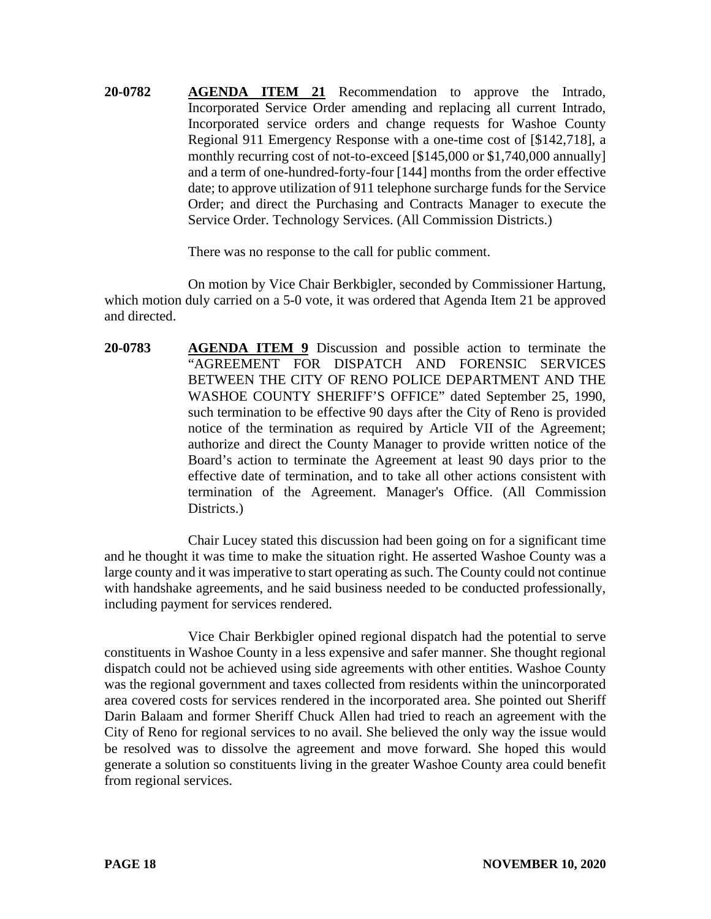**20-0782 AGENDA ITEM 21** Recommendation to approve the Intrado, Incorporated Service Order amending and replacing all current Intrado, Incorporated service orders and change requests for Washoe County Regional 911 Emergency Response with a one-time cost of [\$142,718], a monthly recurring cost of not-to-exceed [\$145,000 or \$1,740,000 annually] and a term of one-hundred-forty-four [144] months from the order effective date; to approve utilization of 911 telephone surcharge funds for the Service Order; and direct the Purchasing and Contracts Manager to execute the Service Order. Technology Services. (All Commission Districts.)

There was no response to the call for public comment.

On motion by Vice Chair Berkbigler, seconded by Commissioner Hartung, which motion duly carried on a 5-0 vote, it was ordered that Agenda Item 21 be approved and directed.

**20-0783 AGENDA ITEM 9** Discussion and possible action to terminate the "AGREEMENT FOR DISPATCH AND FORENSIC SERVICES BETWEEN THE CITY OF RENO POLICE DEPARTMENT AND THE WASHOE COUNTY SHERIFF'S OFFICE" dated September 25, 1990, such termination to be effective 90 days after the City of Reno is provided notice of the termination as required by Article VII of the Agreement; authorize and direct the County Manager to provide written notice of the Board's action to terminate the Agreement at least 90 days prior to the effective date of termination, and to take all other actions consistent with termination of the Agreement. Manager's Office. (All Commission Districts.)

Chair Lucey stated this discussion had been going on for a significant time and he thought it was time to make the situation right. He asserted Washoe County was a large county and it was imperative to start operating as such. The County could not continue with handshake agreements, and he said business needed to be conducted professionally, including payment for services rendered.

Vice Chair Berkbigler opined regional dispatch had the potential to serve constituents in Washoe County in a less expensive and safer manner. She thought regional dispatch could not be achieved using side agreements with other entities. Washoe County was the regional government and taxes collected from residents within the unincorporated area covered costs for services rendered in the incorporated area. She pointed out Sheriff Darin Balaam and former Sheriff Chuck Allen had tried to reach an agreement with the City of Reno for regional services to no avail. She believed the only way the issue would be resolved was to dissolve the agreement and move forward. She hoped this would generate a solution so constituents living in the greater Washoe County area could benefit from regional services.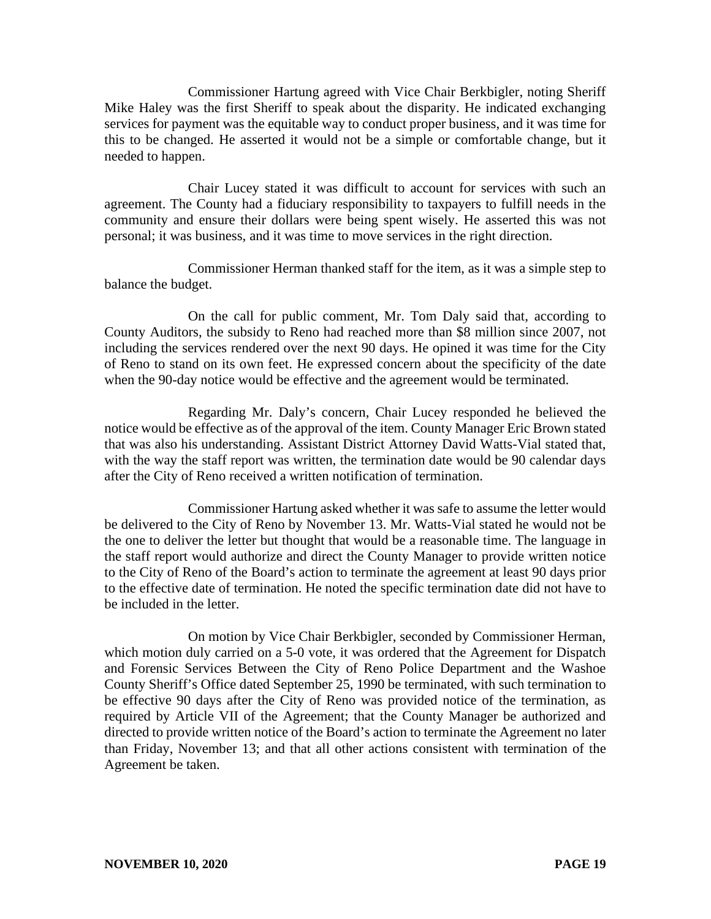Commissioner Hartung agreed with Vice Chair Berkbigler, noting Sheriff Mike Haley was the first Sheriff to speak about the disparity. He indicated exchanging services for payment was the equitable way to conduct proper business, and it was time for this to be changed. He asserted it would not be a simple or comfortable change, but it needed to happen.

Chair Lucey stated it was difficult to account for services with such an agreement. The County had a fiduciary responsibility to taxpayers to fulfill needs in the community and ensure their dollars were being spent wisely. He asserted this was not personal; it was business, and it was time to move services in the right direction.

Commissioner Herman thanked staff for the item, as it was a simple step to balance the budget.

On the call for public comment, Mr. Tom Daly said that, according to County Auditors, the subsidy to Reno had reached more than \$8 million since 2007, not including the services rendered over the next 90 days. He opined it was time for the City of Reno to stand on its own feet. He expressed concern about the specificity of the date when the 90-day notice would be effective and the agreement would be terminated.

Regarding Mr. Daly's concern, Chair Lucey responded he believed the notice would be effective as of the approval of the item. County Manager Eric Brown stated that was also his understanding. Assistant District Attorney David Watts-Vial stated that, with the way the staff report was written, the termination date would be 90 calendar days after the City of Reno received a written notification of termination.

Commissioner Hartung asked whether it was safe to assume the letter would be delivered to the City of Reno by November 13. Mr. Watts-Vial stated he would not be the one to deliver the letter but thought that would be a reasonable time. The language in the staff report would authorize and direct the County Manager to provide written notice to the City of Reno of the Board's action to terminate the agreement at least 90 days prior to the effective date of termination. He noted the specific termination date did not have to be included in the letter.

On motion by Vice Chair Berkbigler, seconded by Commissioner Herman, which motion duly carried on a 5-0 vote, it was ordered that the Agreement for Dispatch and Forensic Services Between the City of Reno Police Department and the Washoe County Sheriff's Office dated September 25, 1990 be terminated, with such termination to be effective 90 days after the City of Reno was provided notice of the termination, as required by Article VII of the Agreement; that the County Manager be authorized and directed to provide written notice of the Board's action to terminate the Agreement no later than Friday, November 13; and that all other actions consistent with termination of the Agreement be taken.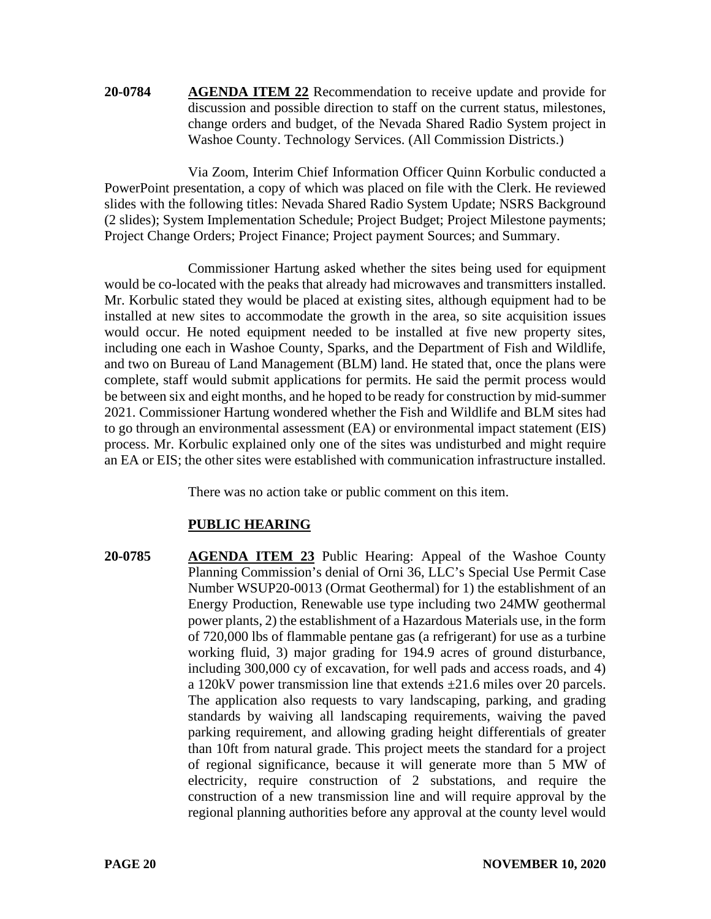**20-0784 AGENDA ITEM 22** Recommendation to receive update and provide for discussion and possible direction to staff on the current status, milestones, change orders and budget, of the Nevada Shared Radio System project in Washoe County. Technology Services. (All Commission Districts.)

Via Zoom, Interim Chief Information Officer Quinn Korbulic conducted a PowerPoint presentation, a copy of which was placed on file with the Clerk. He reviewed slides with the following titles: Nevada Shared Radio System Update; NSRS Background (2 slides); System Implementation Schedule; Project Budget; Project Milestone payments; Project Change Orders; Project Finance; Project payment Sources; and Summary.

Commissioner Hartung asked whether the sites being used for equipment would be co-located with the peaks that already had microwaves and transmitters installed. Mr. Korbulic stated they would be placed at existing sites, although equipment had to be installed at new sites to accommodate the growth in the area, so site acquisition issues would occur. He noted equipment needed to be installed at five new property sites, including one each in Washoe County, Sparks, and the Department of Fish and Wildlife, and two on Bureau of Land Management (BLM) land. He stated that, once the plans were complete, staff would submit applications for permits. He said the permit process would be between six and eight months, and he hoped to be ready for construction by mid-summer 2021. Commissioner Hartung wondered whether the Fish and Wildlife and BLM sites had to go through an environmental assessment (EA) or environmental impact statement (EIS) process. Mr. Korbulic explained only one of the sites was undisturbed and might require an EA or EIS; the other sites were established with communication infrastructure installed.

There was no action take or public comment on this item.

# **PUBLIC HEARING**

**20-0785 AGENDA ITEM 23** Public Hearing: Appeal of the Washoe County Planning Commission's denial of Orni 36, LLC's Special Use Permit Case Number WSUP20-0013 (Ormat Geothermal) for 1) the establishment of an Energy Production, Renewable use type including two 24MW geothermal power plants, 2) the establishment of a Hazardous Materials use, in the form of 720,000 lbs of flammable pentane gas (a refrigerant) for use as a turbine working fluid, 3) major grading for 194.9 acres of ground disturbance, including 300,000 cy of excavation, for well pads and access roads, and 4) a 120kV power transmission line that extends ±21.6 miles over 20 parcels. The application also requests to vary landscaping, parking, and grading standards by waiving all landscaping requirements, waiving the paved parking requirement, and allowing grading height differentials of greater than 10ft from natural grade. This project meets the standard for a project of regional significance, because it will generate more than 5 MW of electricity, require construction of 2 substations, and require the construction of a new transmission line and will require approval by the regional planning authorities before any approval at the county level would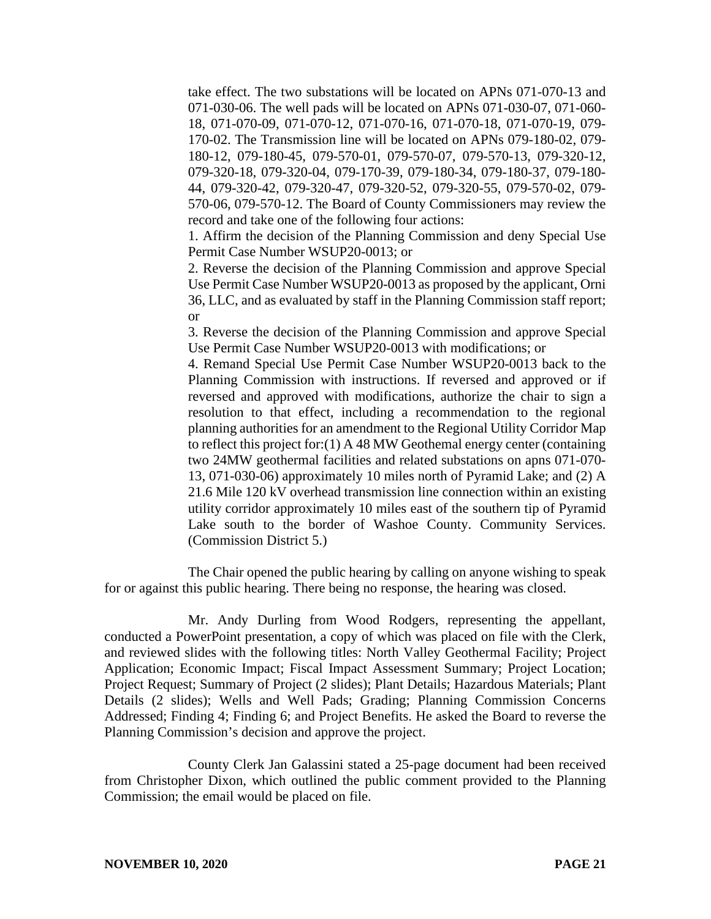take effect. The two substations will be located on APNs 071-070-13 and 071-030-06. The well pads will be located on APNs 071-030-07, 071-060- 18, 071-070-09, 071-070-12, 071-070-16, 071-070-18, 071-070-19, 079- 170-02. The Transmission line will be located on APNs 079-180-02, 079- 180-12, 079-180-45, 079-570-01, 079-570-07, 079-570-13, 079-320-12, 079-320-18, 079-320-04, 079-170-39, 079-180-34, 079-180-37, 079-180- 44, 079-320-42, 079-320-47, 079-320-52, 079-320-55, 079-570-02, 079- 570-06, 079-570-12. The Board of County Commissioners may review the record and take one of the following four actions:

1. Affirm the decision of the Planning Commission and deny Special Use Permit Case Number WSUP20-0013; or

2. Reverse the decision of the Planning Commission and approve Special Use Permit Case Number WSUP20-0013 as proposed by the applicant, Orni 36, LLC, and as evaluated by staff in the Planning Commission staff report; or

3. Reverse the decision of the Planning Commission and approve Special Use Permit Case Number WSUP20-0013 with modifications; or

4. Remand Special Use Permit Case Number WSUP20-0013 back to the Planning Commission with instructions. If reversed and approved or if reversed and approved with modifications, authorize the chair to sign a resolution to that effect, including a recommendation to the regional planning authorities for an amendment to the Regional Utility Corridor Map to reflect this project for:(1) A 48 MW Geothemal energy center (containing two 24MW geothermal facilities and related substations on apns 071-070- 13, 071-030-06) approximately 10 miles north of Pyramid Lake; and (2) A 21.6 Mile 120 kV overhead transmission line connection within an existing utility corridor approximately 10 miles east of the southern tip of Pyramid Lake south to the border of Washoe County. Community Services. (Commission District 5.)

The Chair opened the public hearing by calling on anyone wishing to speak for or against this public hearing. There being no response, the hearing was closed.

Mr. Andy Durling from Wood Rodgers, representing the appellant, conducted a PowerPoint presentation, a copy of which was placed on file with the Clerk, and reviewed slides with the following titles: North Valley Geothermal Facility; Project Application; Economic Impact; Fiscal Impact Assessment Summary; Project Location; Project Request; Summary of Project (2 slides); Plant Details; Hazardous Materials; Plant Details (2 slides); Wells and Well Pads; Grading; Planning Commission Concerns Addressed; Finding 4; Finding 6; and Project Benefits. He asked the Board to reverse the Planning Commission's decision and approve the project.

County Clerk Jan Galassini stated a 25-page document had been received from Christopher Dixon, which outlined the public comment provided to the Planning Commission; the email would be placed on file.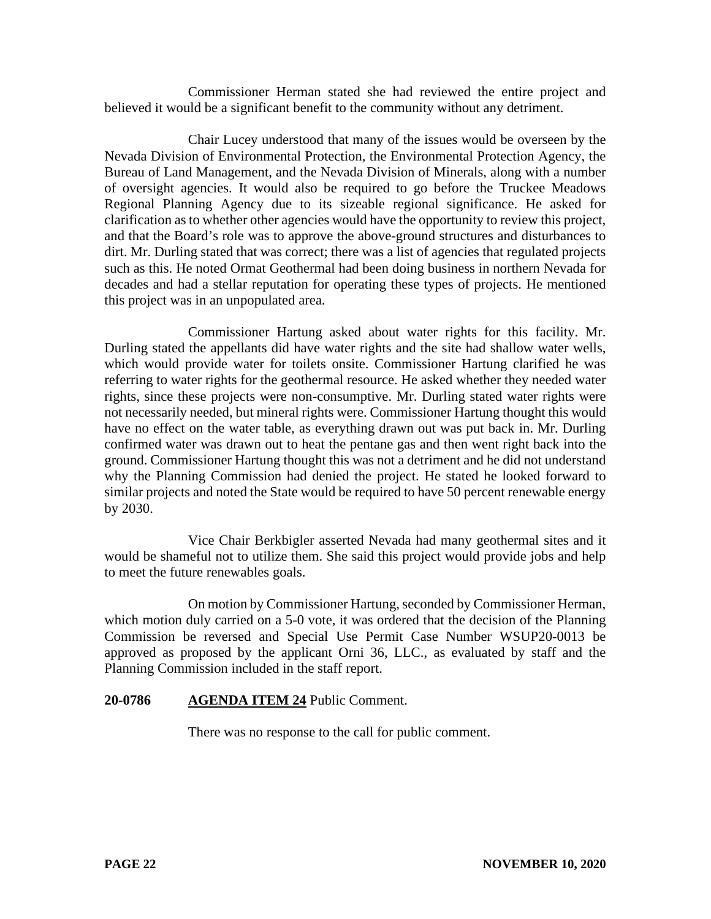Commissioner Herman stated she had reviewed the entire project and believed it would be a significant benefit to the community without any detriment.

Chair Lucey understood that many of the issues would be overseen by the Nevada Division of Environmental Protection, the Environmental Protection Agency, the Bureau of Land Management, and the Nevada Division of Minerals, along with a number of oversight agencies. It would also be required to go before the Truckee Meadows Regional Planning Agency due to its sizeable regional significance. He asked for clarification as to whether other agencies would have the opportunity to review this project, and that the Board's role was to approve the above-ground structures and disturbances to dirt. Mr. Durling stated that was correct; there was a list of agencies that regulated projects such as this. He noted Ormat Geothermal had been doing business in northern Nevada for decades and had a stellar reputation for operating these types of projects. He mentioned this project was in an unpopulated area.

Commissioner Hartung asked about water rights for this facility. Mr. Durling stated the appellants did have water rights and the site had shallow water wells, which would provide water for toilets onsite. Commissioner Hartung clarified he was referring to water rights for the geothermal resource. He asked whether they needed water rights, since these projects were non-consumptive. Mr. Durling stated water rights were not necessarily needed, but mineral rights were. Commissioner Hartung thought this would have no effect on the water table, as everything drawn out was put back in. Mr. Durling confirmed water was drawn out to heat the pentane gas and then went right back into the ground. Commissioner Hartung thought this was not a detriment and he did not understand why the Planning Commission had denied the project. He stated he looked forward to similar projects and noted the State would be required to have 50 percent renewable energy by 2030.

Vice Chair Berkbigler asserted Nevada had many geothermal sites and it would be shameful not to utilize them. She said this project would provide jobs and help to meet the future renewables goals.

On motion by Commissioner Hartung, seconded by Commissioner Herman, which motion duly carried on a 5-0 vote, it was ordered that the decision of the Planning Commission be reversed and Special Use Permit Case Number WSUP20-0013 be approved as proposed by the applicant Orni 36, LLC., as evaluated by staff and the Planning Commission included in the staff report.

## **20-0786 AGENDA ITEM 24** Public Comment.

There was no response to the call for public comment.